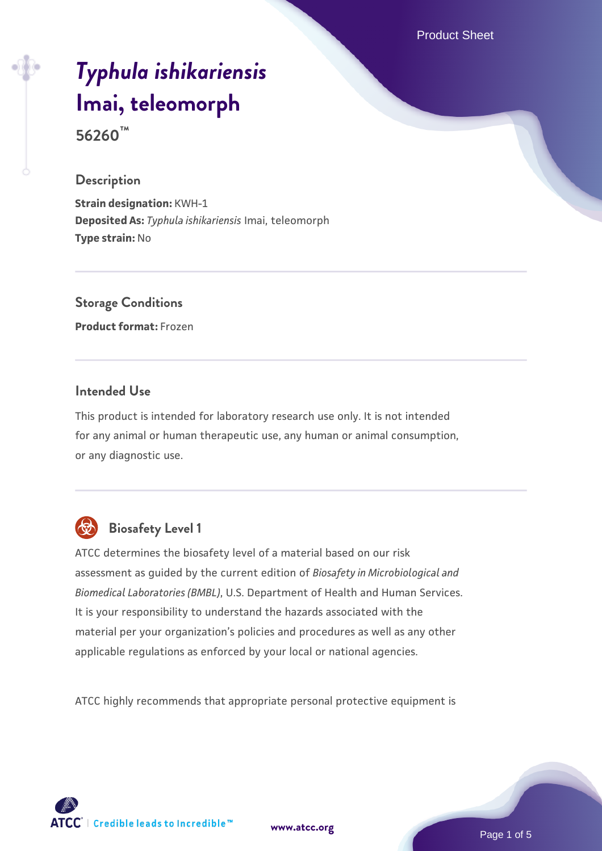Product Sheet

# *[Typhula ishikariensis](https://www.atcc.org/products/56260)* **[Imai, teleomorph](https://www.atcc.org/products/56260)**

**56260™**

#### **Description**

**Strain designation:** KWH-1 **Deposited As:** *Typhula ishikariensis* Imai, teleomorph **Type strain:** No

## **Storage Conditions**

**Product format:** Frozen

#### **Intended Use**

This product is intended for laboratory research use only. It is not intended for any animal or human therapeutic use, any human or animal consumption, or any diagnostic use.



## **Biosafety Level 1**

ATCC determines the biosafety level of a material based on our risk assessment as guided by the current edition of *Biosafety in Microbiological and Biomedical Laboratories (BMBL)*, U.S. Department of Health and Human Services. It is your responsibility to understand the hazards associated with the material per your organization's policies and procedures as well as any other applicable regulations as enforced by your local or national agencies.

ATCC highly recommends that appropriate personal protective equipment is

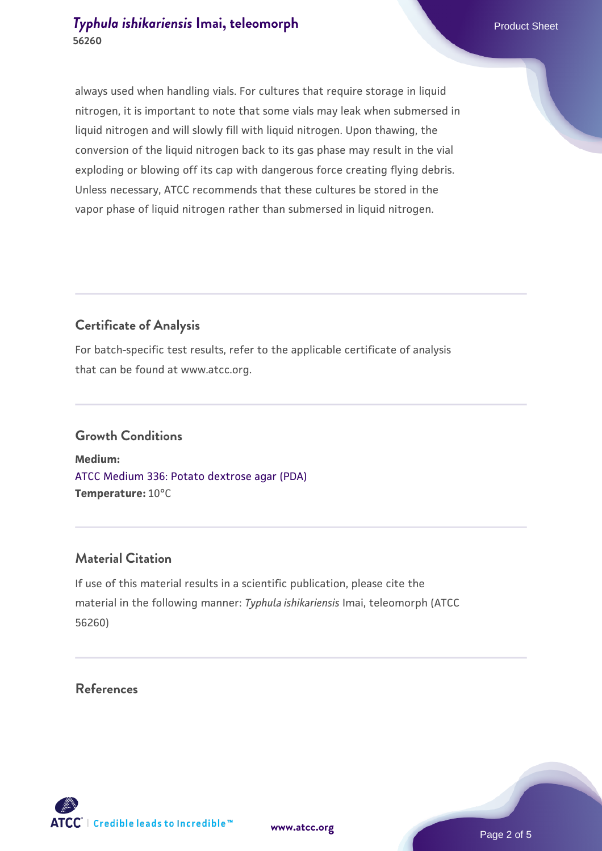#### **[Typhula ishikariensis](https://www.atcc.org/products/56260) [Imai, teleomorph](https://www.atcc.org/products/56260)** Product Sheet **56260**

always used when handling vials. For cultures that require storage in liquid nitrogen, it is important to note that some vials may leak when submersed in liquid nitrogen and will slowly fill with liquid nitrogen. Upon thawing, the conversion of the liquid nitrogen back to its gas phase may result in the vial exploding or blowing off its cap with dangerous force creating flying debris. Unless necessary, ATCC recommends that these cultures be stored in the vapor phase of liquid nitrogen rather than submersed in liquid nitrogen.

## **Certificate of Analysis**

For batch-specific test results, refer to the applicable certificate of analysis that can be found at www.atcc.org.

#### **Growth Conditions**

**Medium:**  [ATCC Medium 336: Potato dextrose agar \(PDA\)](https://www.atcc.org/-/media/product-assets/documents/microbial-media-formulations/3/3/6/atcc-medium-336.pdf?rev=d9160ad44d934cd8b65175461abbf3b9) **Temperature:** 10°C

#### **Material Citation**

If use of this material results in a scientific publication, please cite the material in the following manner: *Typhula ishikariensis* Imai, teleomorph (ATCC 56260)

#### **References**

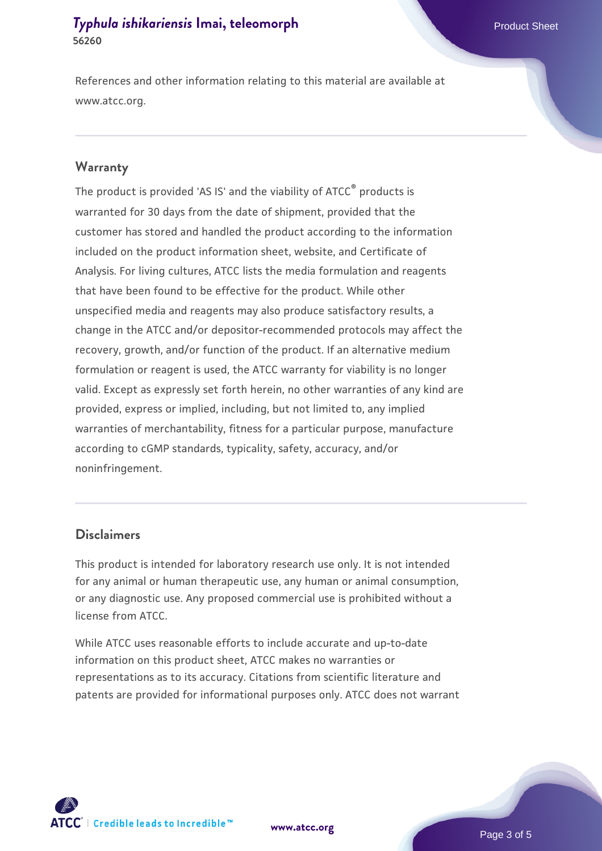#### **[Typhula ishikariensis](https://www.atcc.org/products/56260) [Imai, teleomorph](https://www.atcc.org/products/56260)** Product Sheet **56260**

References and other information relating to this material are available at www.atcc.org.

#### **Warranty**

The product is provided 'AS IS' and the viability of ATCC® products is warranted for 30 days from the date of shipment, provided that the customer has stored and handled the product according to the information included on the product information sheet, website, and Certificate of Analysis. For living cultures, ATCC lists the media formulation and reagents that have been found to be effective for the product. While other unspecified media and reagents may also produce satisfactory results, a change in the ATCC and/or depositor-recommended protocols may affect the recovery, growth, and/or function of the product. If an alternative medium formulation or reagent is used, the ATCC warranty for viability is no longer valid. Except as expressly set forth herein, no other warranties of any kind are provided, express or implied, including, but not limited to, any implied warranties of merchantability, fitness for a particular purpose, manufacture according to cGMP standards, typicality, safety, accuracy, and/or noninfringement.

#### **Disclaimers**

This product is intended for laboratory research use only. It is not intended for any animal or human therapeutic use, any human or animal consumption, or any diagnostic use. Any proposed commercial use is prohibited without a license from ATCC.

While ATCC uses reasonable efforts to include accurate and up-to-date information on this product sheet, ATCC makes no warranties or representations as to its accuracy. Citations from scientific literature and patents are provided for informational purposes only. ATCC does not warrant

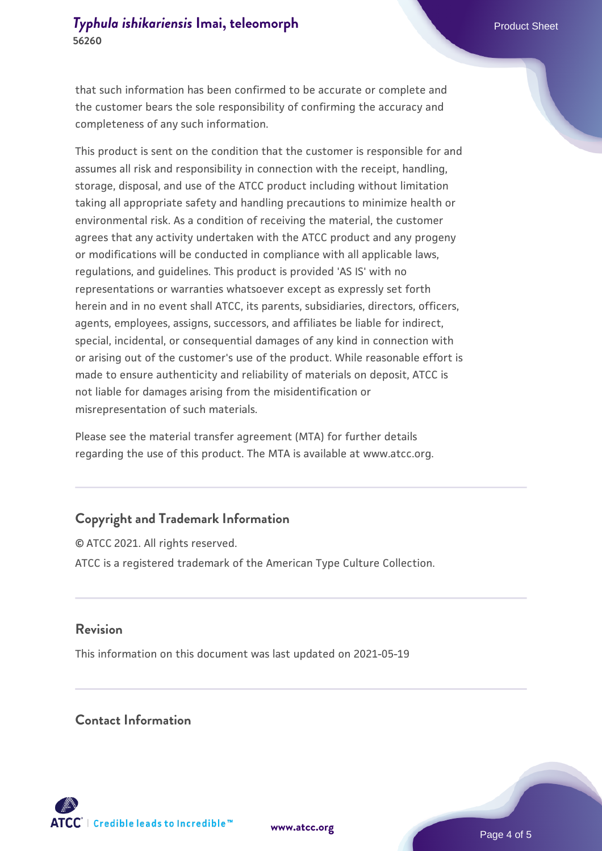that such information has been confirmed to be accurate or complete and the customer bears the sole responsibility of confirming the accuracy and completeness of any such information.

This product is sent on the condition that the customer is responsible for and assumes all risk and responsibility in connection with the receipt, handling, storage, disposal, and use of the ATCC product including without limitation taking all appropriate safety and handling precautions to minimize health or environmental risk. As a condition of receiving the material, the customer agrees that any activity undertaken with the ATCC product and any progeny or modifications will be conducted in compliance with all applicable laws, regulations, and guidelines. This product is provided 'AS IS' with no representations or warranties whatsoever except as expressly set forth herein and in no event shall ATCC, its parents, subsidiaries, directors, officers, agents, employees, assigns, successors, and affiliates be liable for indirect, special, incidental, or consequential damages of any kind in connection with or arising out of the customer's use of the product. While reasonable effort is made to ensure authenticity and reliability of materials on deposit, ATCC is not liable for damages arising from the misidentification or misrepresentation of such materials.

Please see the material transfer agreement (MTA) for further details regarding the use of this product. The MTA is available at www.atcc.org.

## **Copyright and Trademark Information**

© ATCC 2021. All rights reserved. ATCC is a registered trademark of the American Type Culture Collection.

#### **Revision**

This information on this document was last updated on 2021-05-19

#### **Contact Information**